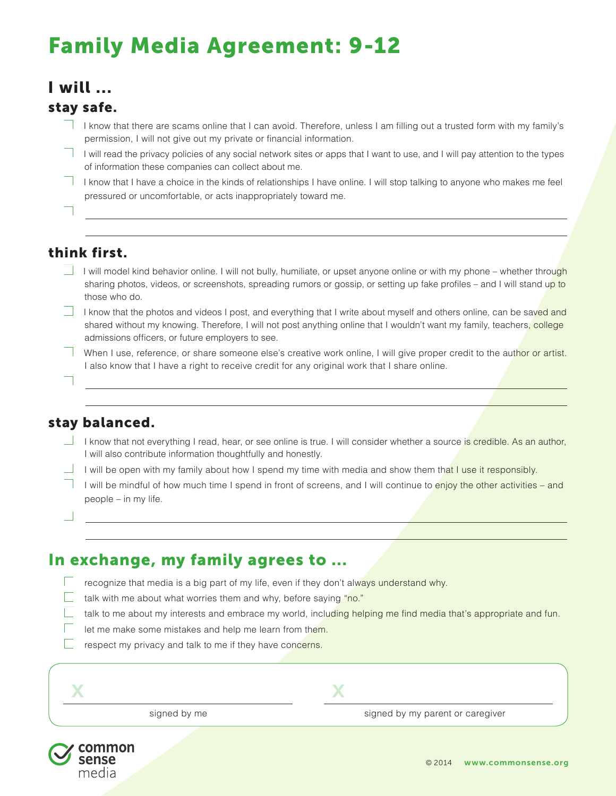# Family Media Agreement: 9-12

# I will ...

#### stay safe.

- $\Box$  I know that there are scams online that I can avoid. Therefore, unless I am filling out a trusted form with my family's permission, I will not give out my private or financial information.
- $\Box$  I will read the privacy policies of any social network sites or apps that I want to use, and I will pay attention to the types of information these companies can collect about me.

 $\Box$  I know that I have a choice in the kinds of relationships I have online. I will stop talking to anyone who makes me feel pressured or uncomfortable, or acts inappropriately toward me.

 $\Box$ 

## think first.

- I will model kind behavior online. I will not bully, humiliate, or upset anyone online or with my phone whether through sharing photos, videos, or screenshots, spreading rumors or gossip, or setting up fake profiles – and I will stand up to those who do.
- I know that the photos and videos I post, and everything that I write about myself and others online, can be saved and shared without my knowing. Therefore, I will not post anything online that I wouldn't want my family, teachers, college admissions officers, or future employers to see.
- When I use, reference, or share someone else's creative work online, I will give proper credit to the author or artist. I also know that I have a right to receive credit for any original work that I share online.
- o

## stay balanced.

- I know that not everything I read, hear, or see online is true. I will consider whether a source is credible. As an author, I will also contribute information thoughtfully and honestly.
- I will be open with my family about how I spend my time with media and show them that I use it responsibly.
- I will be mindful of how much time I spend in front of screens, and I will continue to enjoy the other activities and people – in my life.

 $\Box$ 

# In exchange, my family agrees to ...

- $\Box$  recognize that media is a big part of my life, even if they don't always understand why.
- **b** talk with me about what worries them and why, before saying "no."
	- talk to me about my interests and embrace my world, including helping me find media that's appropriate and fun.
	- let me make some mistakes and help me learn from them.
- $\Box$  respect my privacy and talk to me if they have concerns.

| $\mathcal{L}$<br>Æ |              |  |
|--------------------|--------------|--|
|                    | signed by me |  |

signed by me signed by my parent or caregiver

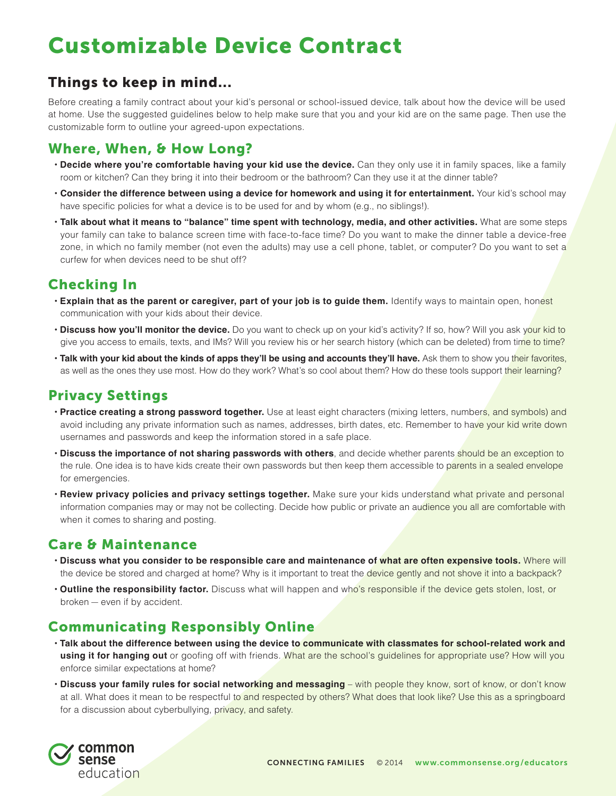# Customizable Device Contract

## Things to keep in mind...

Before creating a family contract about your kid's personal or school-issued device, talk about how the device will be used at home. Use the suggested guidelines below to help make sure that you and your kid are on the same page. Then use the customizable form to outline your agreed-upon expectations.

## Where, When, & How Long?

- **Decide where you're comfortable having your kid use the device.** Can they only use it in family spaces, like a family room or kitchen? Can they bring it into their bedroom or the bathroom? Can they use it at the dinner table?
- **Consider the difference between using a device for homework and using it for entertainment.** Your kid's school may have specific policies for what a device is to be used for and by whom (e.g., no siblings!).
- **Talk about what it means to "balance" time spent with technology, media, and other activities.** What are some steps your family can take to balance screen time with face-to-face time? Do you want to make the dinner table a device-free zone, in which no family member (not even the adults) may use a cell phone, tablet, or computer? Do you want to set a curfew for when devices need to be shut off?

## Checking In

- **Explain that as the parent or caregiver, part of your job is to guide them.** Identify ways to maintain open, honest communication with your kids about their device.
- **Discuss how you'll monitor the device.** Do you want to check up on your kid's activity? If so, how? Will you ask your kid to give you access to emails, texts, and IMs? Will you review his or her search history (which can be deleted) from time to time?
- **Talk with your kid about the kinds of apps they'll be using and accounts they'll have.** Ask them to show you their favorites, as well as the ones they use most. How do they work? What's so cool about them? How do these tools support their learning?

## Privacy Settings

- **Practice creating a strong password together.** Use at least eight characters (mixing letters, numbers, and symbols) and avoid including any private information such as names, addresses, birth dates, etc. Remember to have your kid write down usernames and passwords and keep the information stored in a safe place.
- **Discuss the importance of not sharing passwords with others**, and decide whether parents should be an exception to the rule. One idea is to have kids create their own passwords but then keep them accessible to parents in a sealed envelope for emergencies.
- **Review privacy policies and privacy settings together.** Make sure your kids understand what private and personal information companies may or may not be collecting. Decide how public or private an audience you all are comfortable with when it comes to sharing and posting.

### Care & Maintenance

- **Discuss what you consider to be responsible care and maintenance of what are often expensive tools.** Where will the device be stored and charged at home? Why is it important to treat the device gently and not shove it into a backpack?
- **Outline the responsibility factor.** Discuss what will happen and who's responsible if the device gets stolen, lost, or broken — even if by accident.

### Communicating Responsibly Online

- **Talk about the difference between using the device to communicate with classmates for school-related work and**  using it for hanging out or goofing off with friends. What are the school's guidelines for appropriate use? How will you enforce similar expectations at home?
- **Discuss your family rules for social networking and messaging** with people they know, sort of know, or don't know at all. What does it mean to be respectful to and respected by others? What does that look like? Use this as a springboard for a discussion about cyberbullying, privacy, and safety.